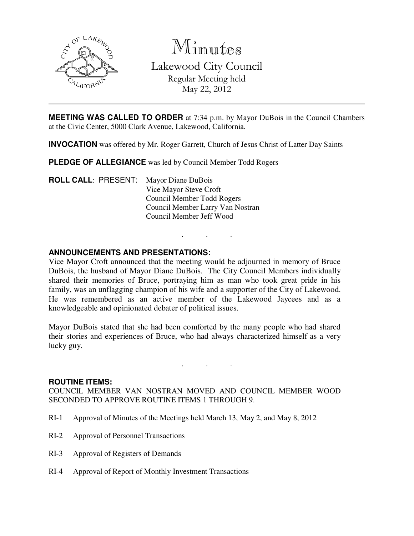

Minutes

Lakewood City Council Regular Meeting held May 22, 2012

**MEETING WAS CALLED TO ORDER** at 7:34 p.m. by Mayor DuBois in the Council Chambers at the Civic Center, 5000 Clark Avenue, Lakewood, California.

**INVOCATION** was offered by Mr. Roger Garrett, Church of Jesus Christ of Latter Day Saints

**PLEDGE OF ALLEGIANCE** was led by Council Member Todd Rogers

**ROLL CALL**: PRESENT: Mayor Diane DuBois Vice Mayor Steve Croft Council Member Todd Rogers Council Member Larry Van Nostran Council Member Jeff Wood

# **ANNOUNCEMENTS AND PRESENTATIONS:**

Vice Mayor Croft announced that the meeting would be adjourned in memory of Bruce DuBois, the husband of Mayor Diane DuBois. The City Council Members individually shared their memories of Bruce, portraying him as man who took great pride in his family, was an unflagging champion of his wife and a supporter of the City of Lakewood. He was remembered as an active member of the Lakewood Jaycees and as a knowledgeable and opinionated debater of political issues.

. . .

Mayor DuBois stated that she had been comforted by the many people who had shared their stories and experiences of Bruce, who had always characterized himself as a very lucky guy.

. . .

#### **ROUTINE ITEMS:**

COUNCIL MEMBER VAN NOSTRAN MOVED AND COUNCIL MEMBER WOOD SECONDED TO APPROVE ROUTINE ITEMS 1 THROUGH 9.

- RI-1 Approval of Minutes of the Meetings held March 13, May 2, and May 8, 2012
- RI-2 Approval of Personnel Transactions
- RI-3 Approval of Registers of Demands
- RI-4 Approval of Report of Monthly Investment Transactions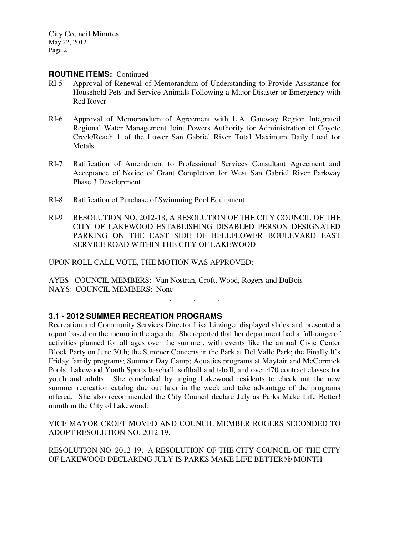#### **ROUTINE ITEMS:** Continued

- RI-5 Approval of Renewal of Memorandum of Understanding to Provide Assistance for Household Pets and Service Animals Following a Major Disaster or Emergency with Red Rover
- RI-6 Approval of Memorandum of Agreement with L.A. Gateway Region Integrated Regional Water Management Joint Powers Authority for Administration of Coyote Creek/Reach 1 of the Lower San Gabriel River Total Maximum Daily Load for Metals
- RI-7 Ratification of Amendment to Professional Services Consultant Agreement and Acceptance of Notice of Grant Completion for West San Gabriel River Parkway Phase 3 Development
- RI-8 Ratification of Purchase of Swimming Pool Equipment
- RI-9 RESOLUTION NO. 2012-18; A RESOLUTION OF THE CITY COUNCIL OF THE CITY OF LAKEWOOD ESTABLISHING DISABLED PERSON DESIGNATED PARKING ON THE EAST SIDE OF BELLFLOWER BOULEVARD EAST SERVICE ROAD WITHIN THE CITY OF LAKEWOOD

UPON ROLL CALL VOTE, THE MOTION WAS APPROVED:

AYES: COUNCIL MEMBERS: Van Nostran, Croft, Wood, Rogers and DuBois NAYS: COUNCIL MEMBERS: None

# **3.1 • 2012 SUMMER RECREATION PROGRAMS**

Recreation and Community Services Director Lisa Litzinger displayed slides and presented a report based on the memo in the agenda. She reported that her department had a full range of activities planned for all ages over the summer, with events like the annual Civic Center Block Party on June 30th; the Summer Concerts in the Park at Del Valle Park; the Finally It's Friday family programs; Summer Day Camp; Aquatics programs at Mayfair and McCormick Pools; Lakewood Youth Sports baseball, softball and t-ball; and over 470 contract classes for youth and adults. She concluded by urging Lakewood residents to check out the new summer recreation catalog due out later in the week and take advantage of the programs offered. She also recommended the City Council declare July as Parks Make Life Better! month in the City of Lakewood.

. . .

VICE MAYOR CROFT MOVED AND COUNCIL MEMBER ROGERS SECONDED TO ADOPT RESOLUTION NO. 2012-19.

RESOLUTION NO. 2012-19; A RESOLUTION OF THE CITY COUNCIL OF THE CITY OF LAKEWOOD DECLARING JULY IS PARKS MAKE LIFE BETTER!® MONTH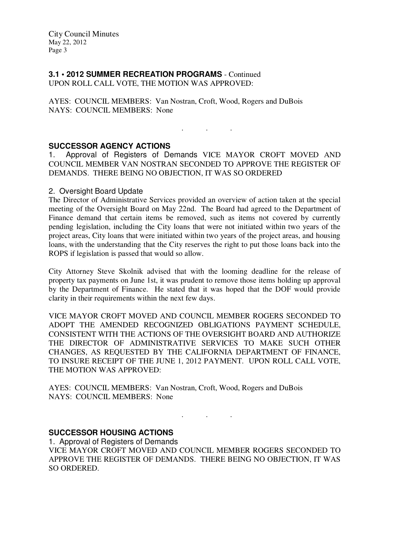City Council Minutes May 22, 2012 Page 3

# **3.1 • 2012 SUMMER RECREATION PROGRAMS** - Continued

UPON ROLL CALL VOTE, THE MOTION WAS APPROVED:

AYES: COUNCIL MEMBERS: Van Nostran, Croft, Wood, Rogers and DuBois NAYS: COUNCIL MEMBERS: None

. . .

# **SUCCESSOR AGENCY ACTIONS**

1. Approval of Registers of Demands VICE MAYOR CROFT MOVED AND COUNCIL MEMBER VAN NOSTRAN SECONDED TO APPROVE THE REGISTER OF DEMANDS. THERE BEING NO OBJECTION, IT WAS SO ORDERED

### 2. Oversight Board Update

The Director of Administrative Services provided an overview of action taken at the special meeting of the Oversight Board on May 22nd. The Board had agreed to the Department of Finance demand that certain items be removed, such as items not covered by currently pending legislation, including the City loans that were not initiated within two years of the project areas, City loans that were initiated within two years of the project areas, and housing loans, with the understanding that the City reserves the right to put those loans back into the ROPS if legislation is passed that would so allow.

City Attorney Steve Skolnik advised that with the looming deadline for the release of property tax payments on June 1st, it was prudent to remove those items holding up approval by the Department of Finance. He stated that it was hoped that the DOF would provide clarity in their requirements within the next few days.

VICE MAYOR CROFT MOVED AND COUNCIL MEMBER ROGERS SECONDED TO ADOPT THE AMENDED RECOGNIZED OBLIGATIONS PAYMENT SCHEDULE, CONSISTENT WITH THE ACTIONS OF THE OVERSIGHT BOARD AND AUTHORIZE THE DIRECTOR OF ADMINISTRATIVE SERVICES TO MAKE SUCH OTHER CHANGES, AS REQUESTED BY THE CALIFORNIA DEPARTMENT OF FINANCE, TO INSURE RECEIPT OF THE JUNE 1, 2012 PAYMENT. UPON ROLL CALL VOTE, THE MOTION WAS APPROVED:

AYES: COUNCIL MEMBERS: Van Nostran, Croft, Wood, Rogers and DuBois NAYS: COUNCIL MEMBERS: None

# **SUCCESSOR HOUSING ACTIONS**

1. Approval of Registers of Demands VICE MAYOR CROFT MOVED AND COUNCIL MEMBER ROGERS SECONDED TO APPROVE THE REGISTER OF DEMANDS. THERE BEING NO OBJECTION, IT WAS SO ORDERED.

. . .